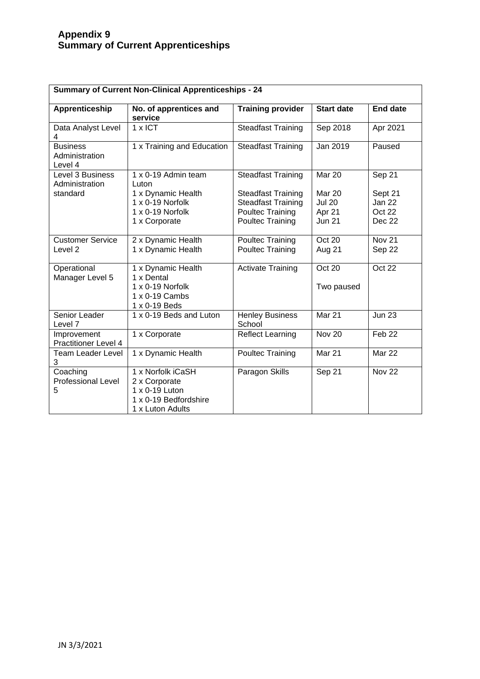## **Appendix 9 Summary of Current Apprenticeships**

| <b>Summary of Current Non-Clinical Apprenticeships - 24</b> |                                                                                                   |                                                                                                              |                                                    |                                       |  |  |
|-------------------------------------------------------------|---------------------------------------------------------------------------------------------------|--------------------------------------------------------------------------------------------------------------|----------------------------------------------------|---------------------------------------|--|--|
| Apprenticeship                                              | No. of apprentices and<br>service                                                                 | <b>Training provider</b>                                                                                     | <b>Start date</b>                                  | <b>End date</b>                       |  |  |
| Data Analyst Level<br>4                                     | 1 x ICT                                                                                           | <b>Steadfast Training</b>                                                                                    | Sep 2018                                           | Apr 2021                              |  |  |
| <b>Business</b><br>Administration<br>Level 4                | 1 x Training and Education                                                                        | <b>Steadfast Training</b>                                                                                    | Jan 2019                                           | Paused                                |  |  |
| Level 3 Business<br>Administration                          | 1 x 0-19 Admin team<br>Luton                                                                      | <b>Steadfast Training</b>                                                                                    | Mar 20                                             | Sep 21                                |  |  |
| standard                                                    | 1 x Dynamic Health<br>1 x 0-19 Norfolk<br>1 x 0-19 Norfolk<br>1 x Corporate                       | <b>Steadfast Training</b><br><b>Steadfast Training</b><br><b>Poultec Training</b><br><b>Poultec Training</b> | Mar 20<br><b>Jul 20</b><br>Apr 21<br><b>Jun 21</b> | Sept 21<br>Jan 22<br>Oct 22<br>Dec 22 |  |  |
| <b>Customer Service</b><br>Level <sub>2</sub>               | 2 x Dynamic Health<br>1 x Dynamic Health                                                          | Poultec Training<br><b>Poultec Training</b>                                                                  | Oct 20<br>Aug 21                                   | <b>Nov 21</b><br>Sep 22               |  |  |
| Operational<br>Manager Level 5                              | 1 x Dynamic Health<br>1 x Dental<br>1 x 0-19 Norfolk<br>1 x 0-19 Cambs<br>1 x 0-19 Beds           | <b>Activate Training</b>                                                                                     | Oct 20<br>Two paused                               | Oct 22                                |  |  |
| Senior Leader<br>Level 7                                    | 1 x 0-19 Beds and Luton                                                                           | <b>Henley Business</b><br>School                                                                             | Mar 21                                             | <b>Jun 23</b>                         |  |  |
| Improvement<br><b>Practitioner Level 4</b>                  | 1 x Corporate                                                                                     | <b>Reflect Learning</b>                                                                                      | <b>Nov 20</b>                                      | Feb <sub>22</sub>                     |  |  |
| <b>Team Leader Level</b><br>3                               | 1 x Dynamic Health                                                                                | <b>Poultec Training</b>                                                                                      | Mar 21                                             | Mar 22                                |  |  |
| Coaching<br>Professional Level<br>5                         | 1 x Norfolk iCaSH<br>2 x Corporate<br>1 x 0-19 Luton<br>1 x 0-19 Bedfordshire<br>1 x Luton Adults | Paragon Skills                                                                                               | Sep 21                                             | <b>Nov 22</b>                         |  |  |